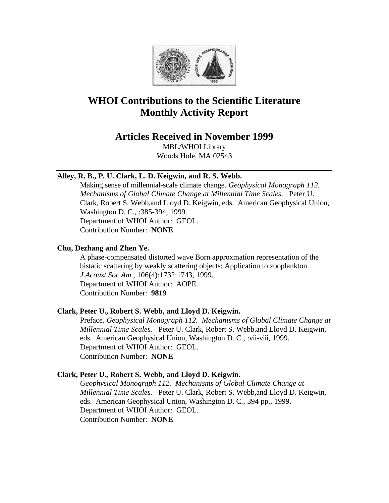

# **WHOI Contributions to the Scientific Literature Monthly Activity Report**

# **Articles Received in November 1999**

MBL/WHOI Library Woods Hole, MA 02543

# **Alley, R. B., P. U. Clark, L. D. Keigwin, and R. S. Webb.**

Making sense of millennial-scale climate change. *Geophysical Monograph 112. Mechanisms of Global Climate Change at Millennial Time Scales*. Peter U. Clark, Robert S. Webb,and Lloyd D. Keigwin, eds. American Geophysical Union, Washington D. C*.*, :385-394, 1999. Department of WHOI Author: GEOL. Contribution Number: **NONE**

# **Chu, Dezhang and Zhen Ye.**

A phase-compensated distorted wave Born approxmation representation of the bistatic scattering by weakly scattering objects: Application to zooplankton. *J.Acoust.Soc.Am.*, 106(4):1732:1743, 1999. Department of WHOI Author: AOPE. Contribution Number: **9819**

# **Clark, Peter U., Robert S. Webb, and Lloyd D. Keigwin.**

Preface. *Geophysical Monograph 112. Mechanisms of Global Climate Change at Millennial Time Scales.* Peter U. Clark, Robert S. Webb,and Lloyd D. Keigwin, eds. American Geophysical Union, Washington D. C*.*, :vii-viii, 1999. Department of WHOI Author: GEOL. Contribution Number: **NONE**

# **Clark, Peter U., Robert S. Webb, and Lloyd D. Keigwin.**

*Geophysical Monograph 112. Mechanisms of Global Climate Change at Millennial Time Scales.* Peter U. Clark, Robert S. Webb,and Lloyd D. Keigwin, eds. American Geophysical Union, Washington D. C*.*, 394 pp., 1999. Department of WHOI Author: GEOL. Contribution Number: **NONE**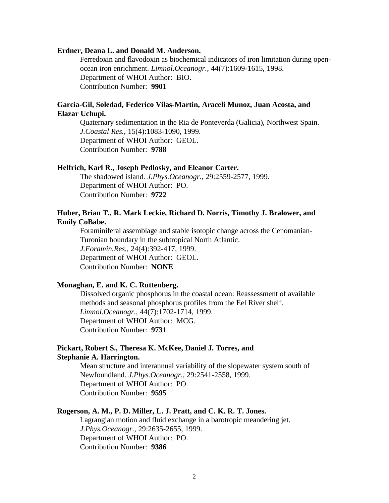#### **Erdner, Deana L. and Donald M. Anderson.**

Ferredoxin and flavodoxin as biochemical indicators of iron limitation during openocean iron enrichment. *Limnol.Oceanogr.*, 44(7):1609-1615, 1998. Department of WHOI Author: BIO. Contribution Number: **9901**

### **Garcia-Gil, Soledad, Federico Vilas-Martin, Araceli Munoz, Juan Acosta, and Elazar Uchupi.**

Quaternary sedimentation in the Ria de Ponteverda (Galicia), Northwest Spain. *J.Coastal Res.*, 15(4):1083-1090, 1999. Department of WHOI Author: GEOL. Contribution Number: **9788**

#### **Helfrich, Karl R., Joseph Pedlosky, and Eleanor Carter.**

The shadowed island. *J.Phys.Oceanogr.*, 29:2559-2577, 1999. Department of WHOI Author: PO. Contribution Number: **9722**

#### **Huber, Brian T., R. Mark Leckie, Richard D. Norris, Timothy J. Bralower, and Emily CoBabe.**

Foraminiferal assemblage and stable isotopic change across the Cenomanian-Turonian boundary in the subtropical North Atlantic. *J.Foramin.Res.*, 24(4):392-417, 1999. Department of WHOI Author: GEOL. Contribution Number: **NONE**

#### **Monaghan, E. and K. C. Ruttenberg.**

Dissolved organic phosphorus in the coastal ocean: Reassessment of available methods and seasonal phosphorus profiles from the Eel River shelf. *Limnol.Oceanogr.*, 44(7):1702-1714, 1999. Department of WHOI Author: MCG. Contribution Number: **9731**

#### **Pickart, Robert S., Theresa K. McKee, Daniel J. Torres, and Stephanie A. Harrington.**

Mean structure and interannual variability of the slopewater system south of Newfoundland. *J.Phys.Oceanogr.*, 29:2541-2558, 1999. Department of WHOI Author: PO. Contribution Number: **9595**

#### **Rogerson, A. M., P. D. Miller, L. J. Pratt, and C. K. R. T. Jones.**

Lagrangian motion and fluid exchange in a barotropic meandering jet. *J.Phys.Oceanogr.*, 29:2635-2655, 1999. Department of WHOI Author: PO. Contribution Number: **9386**